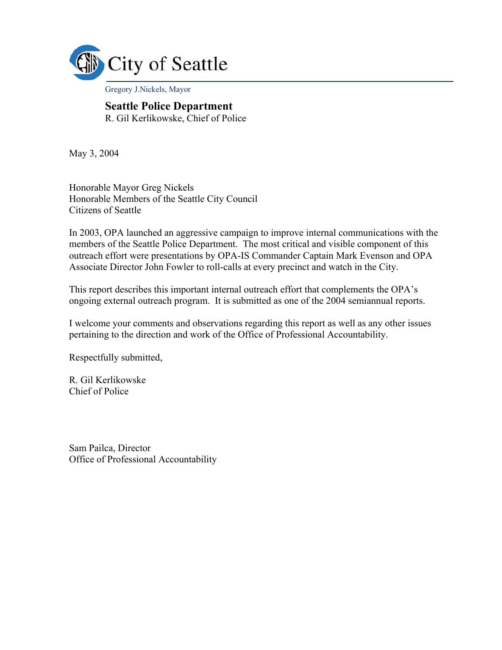

Gregory J.Nickels, Mayor

#### **Seattle Police Department**  R. Gil Kerlikowske, Chief of Police

May 3, 2004

Honorable Mayor Greg Nickels Honorable Members of the Seattle City Council Citizens of Seattle

In 2003, OPA launched an aggressive campaign to improve internal communications with the members of the Seattle Police Department. The most critical and visible component of this outreach effort were presentations by OPA-IS Commander Captain Mark Evenson and OPA Associate Director John Fowler to roll-calls at every precinct and watch in the City.

This report describes this important internal outreach effort that complements the OPA's ongoing external outreach program. It is submitted as one of the 2004 semiannual reports.

I welcome your comments and observations regarding this report as well as any other issues pertaining to the direction and work of the Office of Professional Accountability.

Respectfully submitted,

R. Gil Kerlikowske Chief of Police

Sam Pailca, Director Office of Professional Accountability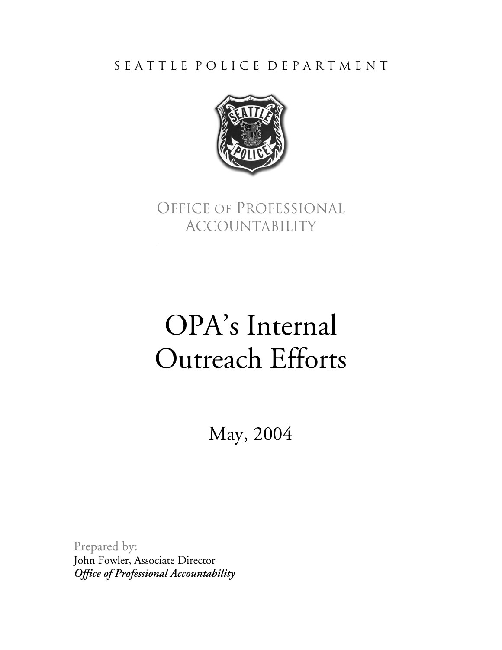S E A T T L E P O L I C E D E P A R T M E N T



Office of Professional Accountability

## OPA's Internal Outreach Efforts

May, 2004

Prepared by: John Fowler, Associate Director *Office of Professional Accountability*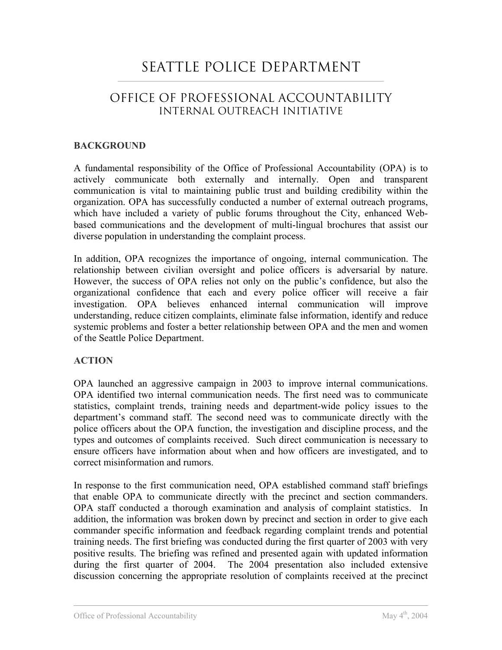### SEATTLE POLICE DEPARTMENT

### OFFICE OF PROFESSIONAL ACCOUNTABILITY INTERNAL OUTREACH INITIATIVE

### **BACKGROUND**

A fundamental responsibility of the Office of Professional Accountability (OPA) is to actively communicate both externally and internally. Open and transparent communication is vital to maintaining public trust and building credibility within the organization. OPA has successfully conducted a number of external outreach programs, which have included a variety of public forums throughout the City, enhanced Webbased communications and the development of multi-lingual brochures that assist our diverse population in understanding the complaint process.

In addition, OPA recognizes the importance of ongoing, internal communication. The relationship between civilian oversight and police officers is adversarial by nature. However, the success of OPA relies not only on the public's confidence, but also the organizational confidence that each and every police officer will receive a fair investigation. OPA believes enhanced internal communication will improve understanding, reduce citizen complaints, eliminate false information, identify and reduce systemic problems and foster a better relationship between OPA and the men and women of the Seattle Police Department.

### **ACTION**

OPA launched an aggressive campaign in 2003 to improve internal communications. OPA identified two internal communication needs. The first need was to communicate statistics, complaint trends, training needs and department-wide policy issues to the department's command staff. The second need was to communicate directly with the police officers about the OPA function, the investigation and discipline process, and the types and outcomes of complaints received. Such direct communication is necessary to ensure officers have information about when and how officers are investigated, and to correct misinformation and rumors.

In response to the first communication need, OPA established command staff briefings that enable OPA to communicate directly with the precinct and section commanders. OPA staff conducted a thorough examination and analysis of complaint statistics. In addition, the information was broken down by precinct and section in order to give each commander specific information and feedback regarding complaint trends and potential training needs. The first briefing was conducted during the first quarter of 2003 with very positive results. The briefing was refined and presented again with updated information during the first quarter of 2004. The 2004 presentation also included extensive discussion concerning the appropriate resolution of complaints received at the precinct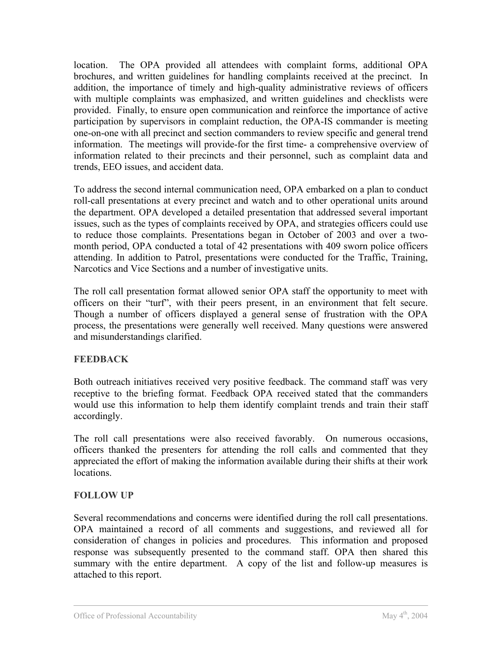location. The OPA provided all attendees with complaint forms, additional OPA brochures, and written guidelines for handling complaints received at the precinct. In addition, the importance of timely and high-quality administrative reviews of officers with multiple complaints was emphasized, and written guidelines and checklists were provided. Finally, to ensure open communication and reinforce the importance of active participation by supervisors in complaint reduction, the OPA-IS commander is meeting one-on-one with all precinct and section commanders to review specific and general trend information. The meetings will provide-for the first time- a comprehensive overview of information related to their precincts and their personnel, such as complaint data and trends, EEO issues, and accident data.

To address the second internal communication need, OPA embarked on a plan to conduct roll-call presentations at every precinct and watch and to other operational units around the department. OPA developed a detailed presentation that addressed several important issues, such as the types of complaints received by OPA, and strategies officers could use to reduce those complaints. Presentations began in October of 2003 and over a twomonth period, OPA conducted a total of 42 presentations with 409 sworn police officers attending. In addition to Patrol, presentations were conducted for the Traffic, Training, Narcotics and Vice Sections and a number of investigative units.

The roll call presentation format allowed senior OPA staff the opportunity to meet with officers on their "turf", with their peers present, in an environment that felt secure. Though a number of officers displayed a general sense of frustration with the OPA process, the presentations were generally well received. Many questions were answered and misunderstandings clarified.

### **FEEDBACK**

Both outreach initiatives received very positive feedback. The command staff was very receptive to the briefing format. Feedback OPA received stated that the commanders would use this information to help them identify complaint trends and train their staff accordingly.

The roll call presentations were also received favorably. On numerous occasions, officers thanked the presenters for attending the roll calls and commented that they appreciated the effort of making the information available during their shifts at their work **locations** 

### **FOLLOW UP**

Several recommendations and concerns were identified during the roll call presentations. OPA maintained a record of all comments and suggestions, and reviewed all for consideration of changes in policies and procedures. This information and proposed response was subsequently presented to the command staff. OPA then shared this summary with the entire department. A copy of the list and follow-up measures is attached to this report.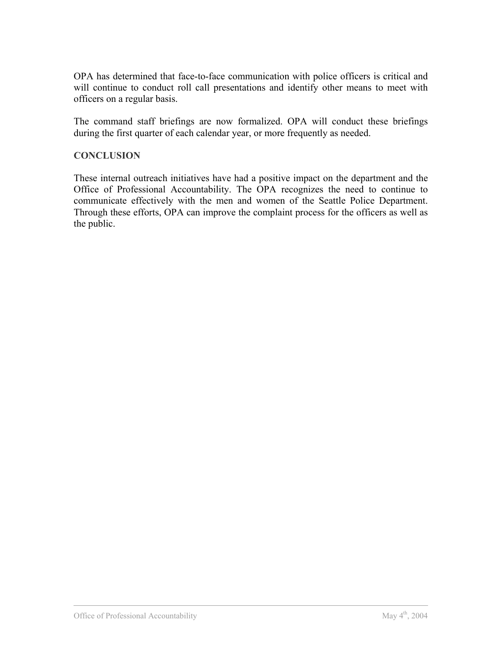OPA has determined that face-to-face communication with police officers is critical and will continue to conduct roll call presentations and identify other means to meet with officers on a regular basis.

The command staff briefings are now formalized. OPA will conduct these briefings during the first quarter of each calendar year, or more frequently as needed.

#### **CONCLUSION**

These internal outreach initiatives have had a positive impact on the department and the Office of Professional Accountability. The OPA recognizes the need to continue to communicate effectively with the men and women of the Seattle Police Department. Through these efforts, OPA can improve the complaint process for the officers as well as the public.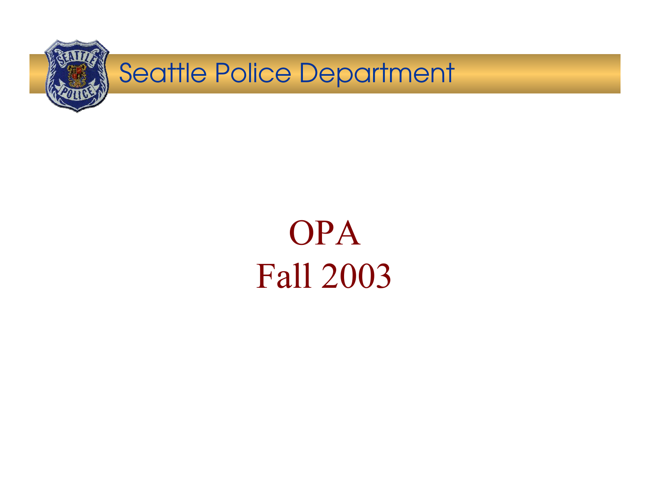

OPA Fall 2003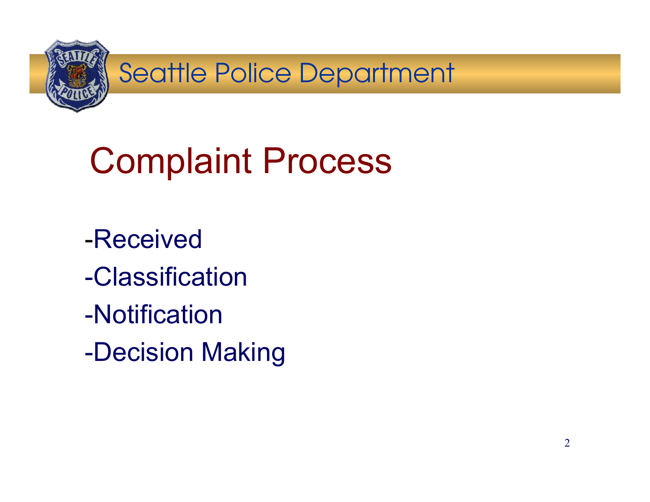

# Complaint Process

- -Received
- -Classification
- -Notification
- -Decision Making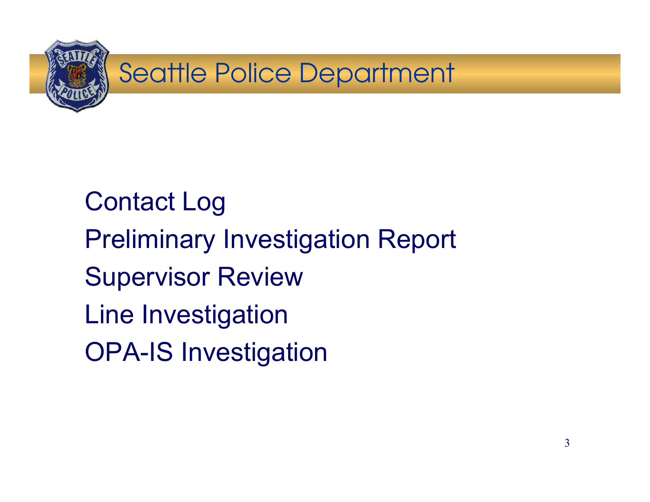

Contact Log Preliminary Investigation Report Supervisor Review Line Investigation OPA-IS Investigation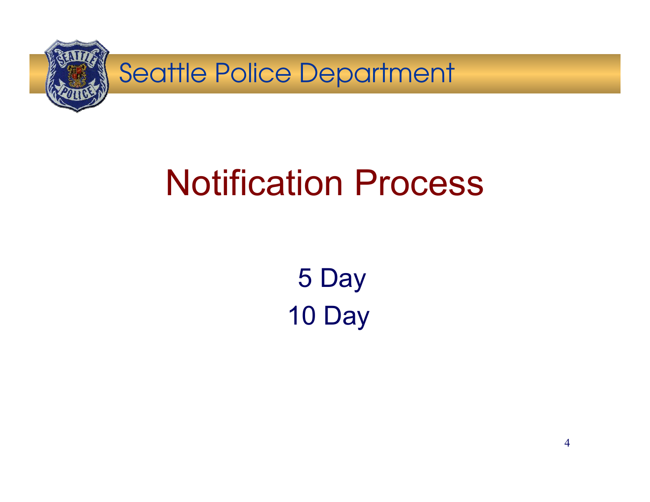

## Notification Process

5 Day 10 Day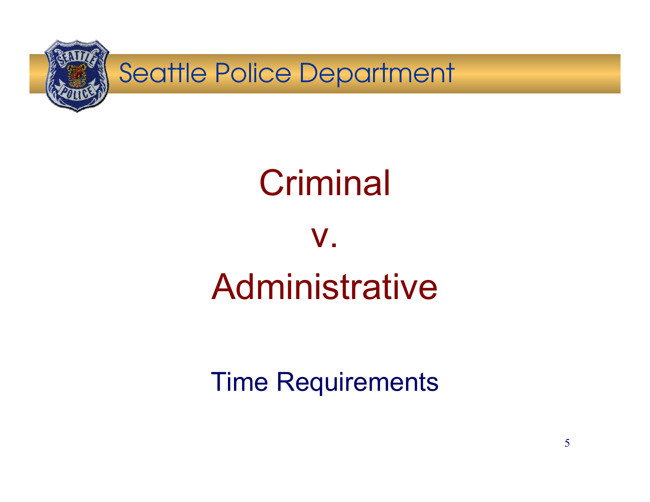

# **Criminal**

## v.Administrative

### Time Requirements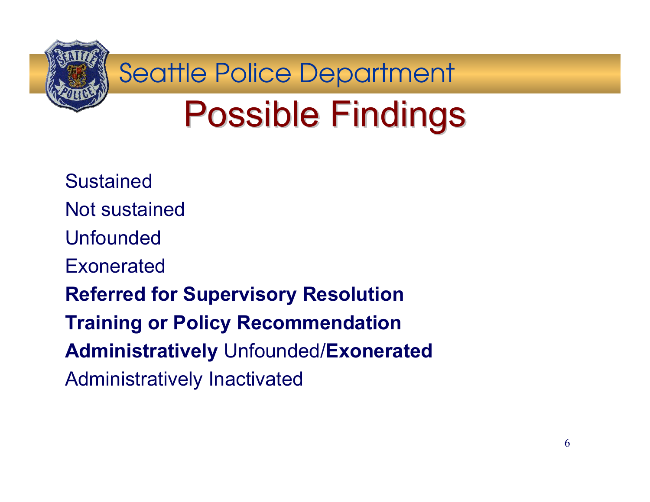

# **Possible Findings**

SustainedNot sustained Unfounded Exonerated**Referred for Supervisory Resolution Training or Policy Recommendation Administratively** Unfounded/**Exonerated** Administratively Inactivated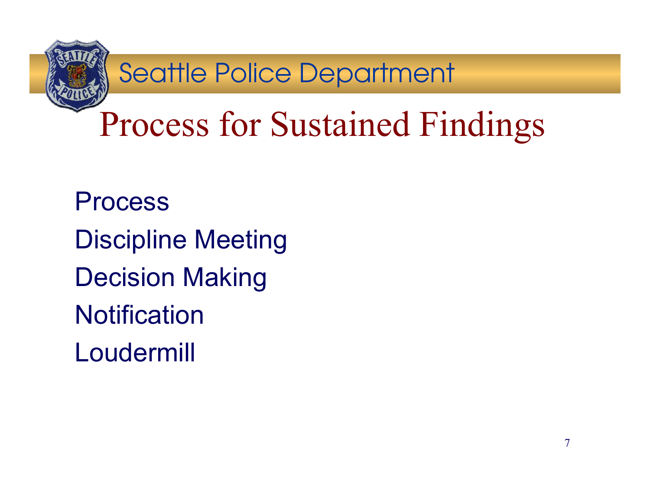

## Process for Sustained Findings

ProcessDiscipline Meeting Decision Making **Notification** Loudermill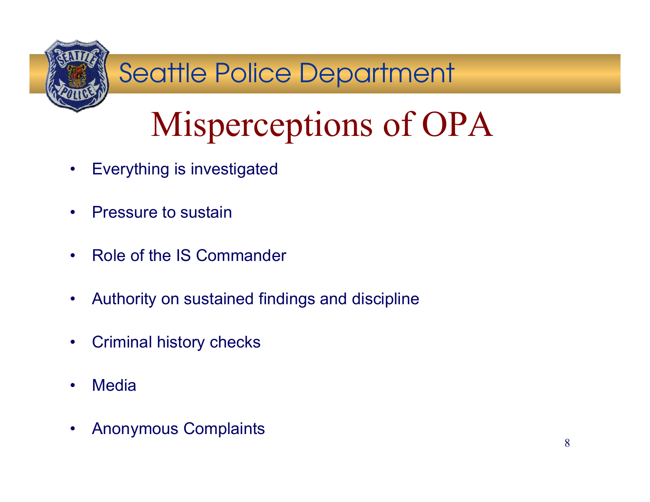

# Misperceptions of OPA

- $\bullet$ Everything is investigated
- $\bullet$ Pressure to sustain
- •Role of the IS Commander
- $\bullet$ Authority on sustained findings and discipline
- •Criminal history checks
- •**Media**
- $\bullet$ Anonymous Complaints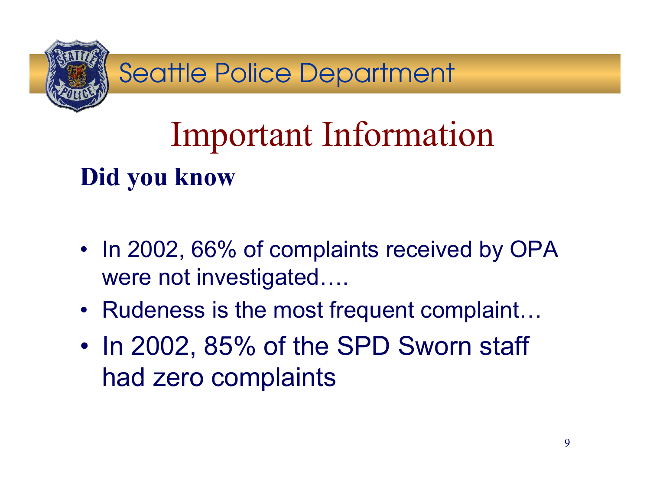

## Important Information **Did you know**

- In 2002, 66% of complaints received by OPA were not investigated….
- Rudeness is the most frequent complaint…
- • In 2002, 85% of the SPD Sworn staff had zero complaints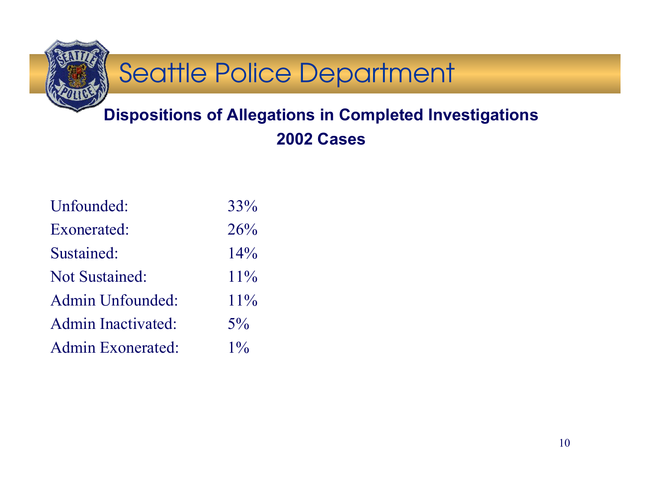

### **Dispositions of Allegations in Completed Investigations 2002 Cases**

| Unfounded:            | 33%    |
|-----------------------|--------|
| Exonerated:           | 26%    |
| Sustained:            | 14%    |
| <b>Not Sustained:</b> | $11\%$ |
| Admin Unfounded:      | $11\%$ |
| Admin Inactivated:    | $5\%$  |
| Admin Exonerated:     | $1\%$  |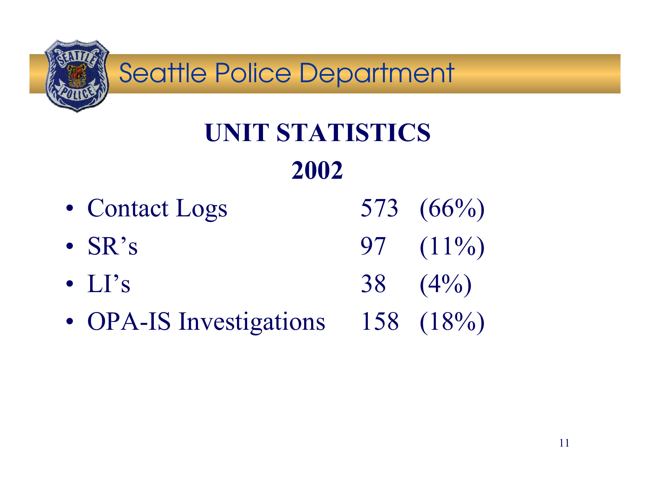

## **UNIT STATISTICS2002**

- Contact Logs  $573$   $(66\%)$ •  $SR's$ 97  $(11\%)$
- $LI's$ 38  $(4\%)$
- OPA-IS Investigations 158 (18%)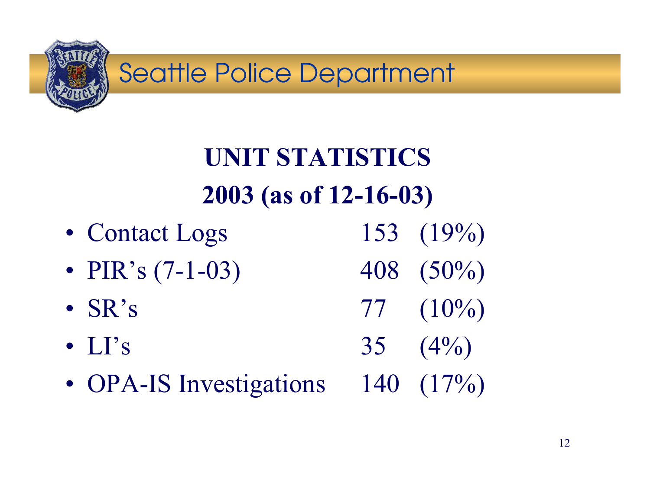

## **UNIT STATISTICS2003 (as of 12-16-03)**

- Contact Logs  $153$   $(19\%)$
- PIR's  $(7-1-03)$  408  $(50\%)$
- $SR's$
- $LI's$
- OPA-IS Investigations 140 (17%)

 $77 \quad (10\%)$ 35  $(4\%)$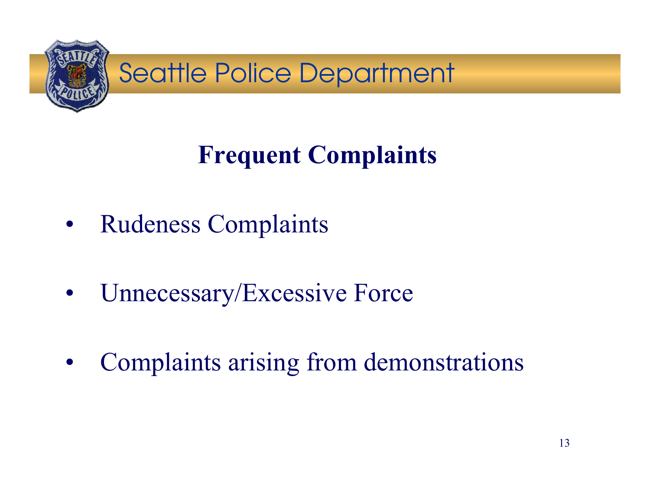

## **Frequent Complaints**

- $\bullet$ Rudeness Complaints
- $\bullet$ Unnecessary/Excessive Force
- •Complaints arising from demonstrations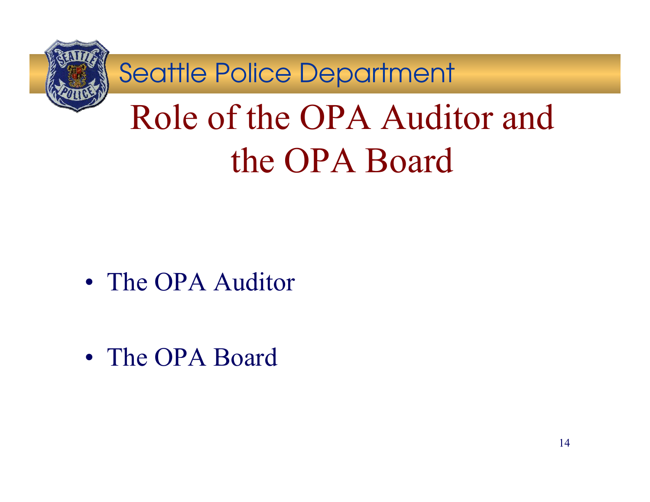

# Role of the OPA Auditor and the OPA Board

• The OPA Auditor

• The OPA Board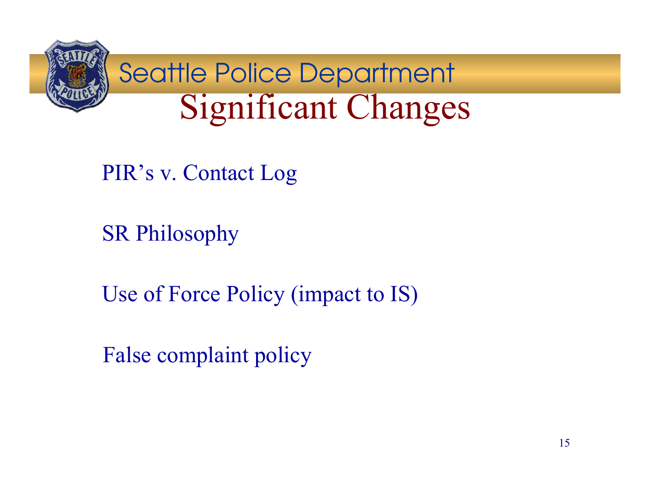

PIR's v. Contact Log

SR Philosophy

Use of Force Policy (impact to IS)

False complaint policy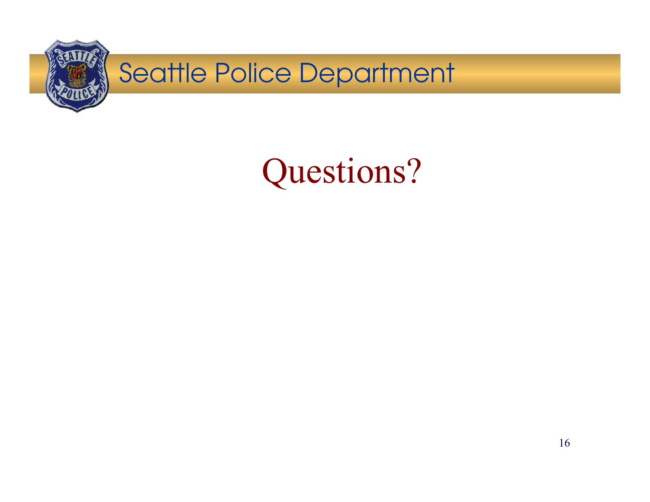

## Questions?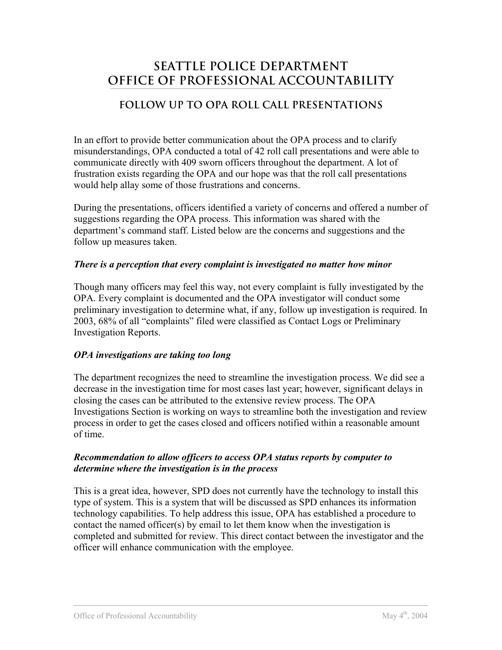### **SEATTLE POLICE DEPARTMENT OFFICE OF PROFESSIONAL ACCOUNTABILITY**

### **FOLLOW UP TO OPA ROLL CALL PRESENTATIONS**

In an effort to provide better communication about the OPA process and to clarify misunderstandings, OPA conducted a total of 42 roll call presentations and were able to communicate directly with 409 sworn officers throughout the department. A lot of frustration exists regarding the OPA and our hope was that the roll call presentations would help allay some of those frustrations and concerns.

During the presentations, officers identified a variety of concerns and offered a number of suggestions regarding the OPA process. This information was shared with the department's command staff. Listed below are the concerns and suggestions and the follow up measures taken.

### *There is a perception that every complaint is investigated no matter how minor*

Though many officers may feel this way, not every complaint is fully investigated by the OPA. Every complaint is documented and the OPA investigator will conduct some preliminary investigation to determine what, if any, follow up investigation is required. In 2003, 68% of all "complaints" filed were classified as Contact Logs or Preliminary Investigation Reports.

### *OPA investigations are taking too long*

The department recognizes the need to streamline the investigation process. We did see a decrease in the investigation time for most cases last year; however, significant delays in closing the cases can be attributed to the extensive review process. The OPA Investigations Section is working on ways to streamline both the investigation and review process in order to get the cases closed and officers notified within a reasonable amount of time.

### *Recommendation to allow officers to access OPA status reports by computer to determine where the investigation is in the process*

This is a great idea, however, SPD does not currently have the technology to install this type of system. This is a system that will be discussed as SPD enhances its information technology capabilities. To help address this issue, OPA has established a procedure to contact the named officer(s) by email to let them know when the investigation is completed and submitted for review. This direct contact between the investigator and the officer will enhance communication with the employee.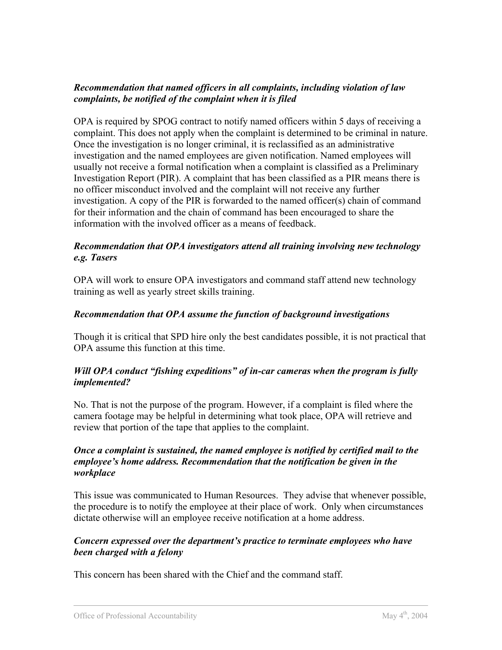### *Recommendation that named officers in all complaints, including violation of law complaints, be notified of the complaint when it is filed*

OPA is required by SPOG contract to notify named officers within 5 days of receiving a complaint. This does not apply when the complaint is determined to be criminal in nature. Once the investigation is no longer criminal, it is reclassified as an administrative investigation and the named employees are given notification. Named employees will usually not receive a formal notification when a complaint is classified as a Preliminary Investigation Report (PIR). A complaint that has been classified as a PIR means there is no officer misconduct involved and the complaint will not receive any further investigation. A copy of the PIR is forwarded to the named officer(s) chain of command for their information and the chain of command has been encouraged to share the information with the involved officer as a means of feedback.

### *Recommendation that OPA investigators attend all training involving new technology e.g. Tasers*

OPA will work to ensure OPA investigators and command staff attend new technology training as well as yearly street skills training.

### *Recommendation that OPA assume the function of background investigations*

Though it is critical that SPD hire only the best candidates possible, it is not practical that OPA assume this function at this time.

### *Will OPA conduct "fishing expeditions" of in-car cameras when the program is fully implemented?*

No. That is not the purpose of the program. However, if a complaint is filed where the camera footage may be helpful in determining what took place, OPA will retrieve and review that portion of the tape that applies to the complaint.

### *Once a complaint is sustained, the named employee is notified by certified mail to the employee's home address. Recommendation that the notification be given in the workplace*

This issue was communicated to Human Resources. They advise that whenever possible, the procedure is to notify the employee at their place of work. Only when circumstances dictate otherwise will an employee receive notification at a home address.

### *Concern expressed over the department's practice to terminate employees who have been charged with a felony*

This concern has been shared with the Chief and the command staff.